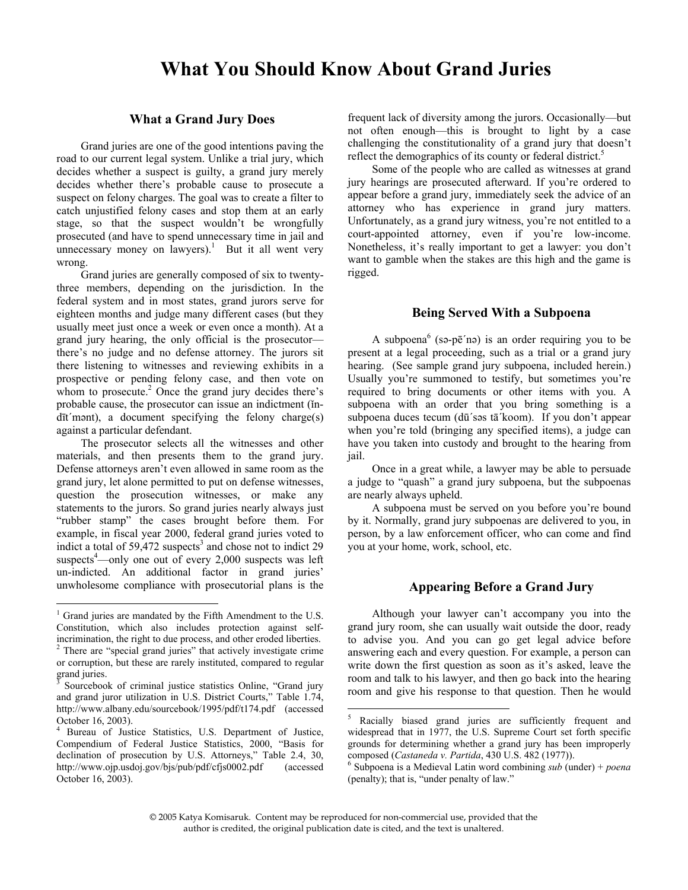## **What You Should Know About Grand Juries**

#### **What a Grand Jury Does**

Grand juries are one of the good intentions paving the road to our current legal system. Unlike a trial jury, which decides whether a suspect is guilty, a grand jury merely decides whether there's probable cause to prosecute a suspect on felony charges. The goal was to create a filter to catch unjustified felony cases and stop them at an early stage, so that the suspect wouldn't be wrongfully prosecuted (and have to spend unnecessary time in jail and unnecessary money on lawyers).<sup>1</sup> But it all went very wrong.

Grand juries are generally composed of six to twentythree members, depending on the jurisdiction. In the federal system and in most states, grand jurors serve for eighteen months and judge many different cases (but they usually meet just once a week or even once a month). At a grand jury hearing, the only official is the prosecutor there's no judge and no defense attorney. The jurors sit there listening to witnesses and reviewing exhibits in a prospective or pending felony case, and then vote on whom to prosecute. $2$  Once the grand jury decides there's probable cause, the prosecutor can issue an indictment (ǐndīt´mənt), a document specifying the felony charge(s) against a particular defendant.

The prosecutor selects all the witnesses and other materials, and then presents them to the grand jury. Defense attorneys aren't even allowed in same room as the grand jury, let alone permitted to put on defense witnesses, question the prosecution witnesses, or make any statements to the jurors. So grand juries nearly always just "rubber stamp" the cases brought before them. For example, in fiscal year 2000, federal grand juries voted to indict a total of  $59,472$  suspects<sup>3</sup> and chose not to indict 29 suspects<sup>4</sup>—only one out of every  $2,000$  suspects was left un-indicted. An additional factor in grand juries' unwholesome compliance with prosecutorial plans is the

 $\overline{a}$ 

frequent lack of diversity among the jurors. Occasionally—but not often enough—this is brought to light by a case challenging the constitutionality of a grand jury that doesn't reflect the demographics of its county or federal district.<sup>5</sup>

Some of the people who are called as witnesses at grand jury hearings are prosecuted afterward. If you're ordered to appear before a grand jury, immediately seek the advice of an attorney who has experience in grand jury matters. Unfortunately, as a grand jury witness, you're not entitled to a court-appointed attorney, even if you're low-income. Nonetheless, it's really important to get a lawyer: you don't want to gamble when the stakes are this high and the game is rigged.

#### **Being Served With a Subpoena**

A subpoena<sup>6</sup> (sə-pē'nə) is an order requiring you to be present at a legal proceeding, such as a trial or a grand jury hearing. (See sample grand jury subpoena, included herein.) Usually you're summoned to testify, but sometimes you're required to bring documents or other items with you. A subpoena with an order that you bring something is a subpoena duces tecum (dū´səs tā´koom). If you don't appear when you're told (bringing any specified items), a judge can have you taken into custody and brought to the hearing from jail.

Once in a great while, a lawyer may be able to persuade a judge to "quash" a grand jury subpoena, but the subpoenas are nearly always upheld.

A subpoena must be served on you before you're bound by it. Normally, grand jury subpoenas are delivered to you, in person, by a law enforcement officer, who can come and find you at your home, work, school, etc.

#### **Appearing Before a Grand Jury**

Although your lawyer can't accompany you into the grand jury room, she can usually wait outside the door, ready to advise you. And you can go get legal advice before answering each and every question. For example, a person can write down the first question as soon as it's asked, leave the room and talk to his lawyer, and then go back into the hearing room and give his response to that question. Then he would

 $\overline{a}$ 

<sup>1</sup> Grand juries are mandated by the Fifth Amendment to the U.S. Constitution, which also includes protection against selfincrimination, the right to due process, and other eroded liberties. 2 <sup>2</sup> There are "special grand juries" that actively investigate crime or corruption, but these are rarely instituted, compared to regular grand juries.

<sup>3</sup> Sourcebook of criminal justice statistics Online, "Grand jury and grand juror utilization in U.S. District Courts," Table 1.74, http://www.albany.edu/sourcebook/1995/pdf/t174.pdf (accessed October 16, 2003).

<sup>4</sup> Bureau of Justice Statistics, U.S. Department of Justice, Compendium of Federal Justice Statistics, 2000, "Basis for declination of prosecution by U.S. Attorneys," Table 2.4, 30, http://www.ojp.usdoj.gov/bjs/pub/pdf/cfjs0002.pdf (accessed October 16, 2003).

<sup>5</sup> Racially biased grand juries are sufficiently frequent and widespread that in 1977, the U.S. Supreme Court set forth specific grounds for determining whether a grand jury has been improperly composed (*Castaneda v. Partida*, 430 U.S. 482 (1977)).

Subpoena is a Medieval Latin word combining *sub* (under) + *poena* (penalty); that is, "under penalty of law."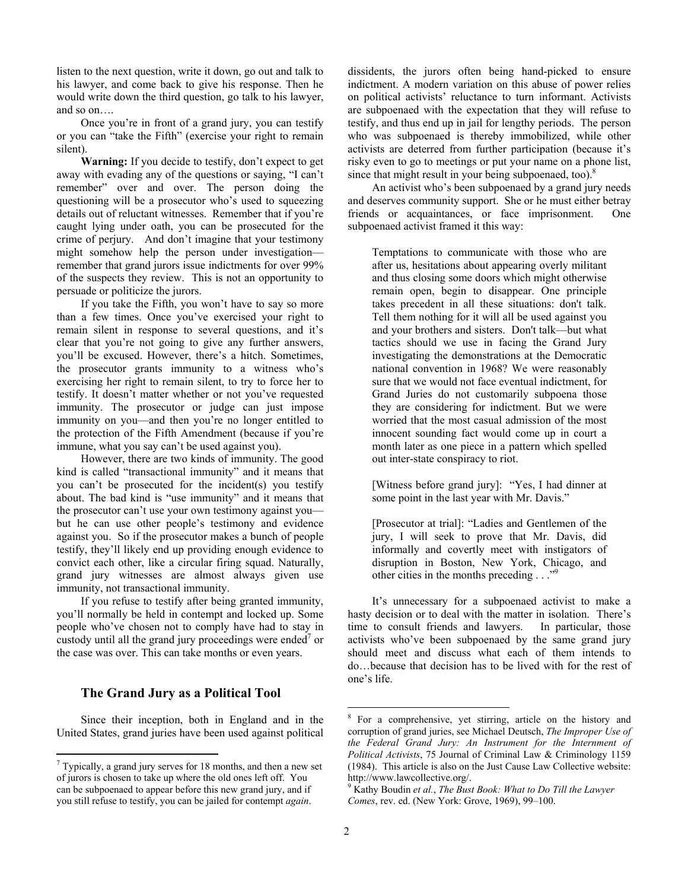listen to the next question, write it down, go out and talk to his lawyer, and come back to give his response. Then he would write down the third question, go talk to his lawyer, and so on….

Once you're in front of a grand jury, you can testify or you can "take the Fifth" (exercise your right to remain silent).

**Warning:** If you decide to testify, don't expect to get away with evading any of the questions or saying, "I can't remember" over and over. The person doing the questioning will be a prosecutor who's used to squeezing details out of reluctant witnesses. Remember that if you're caught lying under oath, you can be prosecuted for the crime of perjury. And don't imagine that your testimony might somehow help the person under investigation remember that grand jurors issue indictments for over 99% of the suspects they review. This is not an opportunity to persuade or politicize the jurors.

If you take the Fifth, you won't have to say so more than a few times. Once you've exercised your right to remain silent in response to several questions, and it's clear that you're not going to give any further answers, you'll be excused. However, there's a hitch. Sometimes, the prosecutor grants immunity to a witness who's exercising her right to remain silent, to try to force her to testify. It doesn't matter whether or not you've requested immunity. The prosecutor or judge can just impose immunity on you—and then you're no longer entitled to the protection of the Fifth Amendment (because if you're immune, what you say can't be used against you).

However, there are two kinds of immunity. The good kind is called "transactional immunity" and it means that you can't be prosecuted for the incident(s) you testify about. The bad kind is "use immunity" and it means that the prosecutor can't use your own testimony against you but he can use other people's testimony and evidence against you. So if the prosecutor makes a bunch of people testify, they'll likely end up providing enough evidence to convict each other, like a circular firing squad. Naturally, grand jury witnesses are almost always given use immunity, not transactional immunity.

If you refuse to testify after being granted immunity, you'll normally be held in contempt and locked up. Some people who've chosen not to comply have had to stay in custody until all the grand jury proceedings were ended<sup>7</sup> or the case was over. This can take months or even years.

### **The Grand Jury as a Political Tool**

 $\overline{a}$ 

Since their inception, both in England and in the United States, grand juries have been used against political dissidents, the jurors often being hand-picked to ensure indictment. A modern variation on this abuse of power relies on political activists' reluctance to turn informant. Activists are subpoenaed with the expectation that they will refuse to testify, and thus end up in jail for lengthy periods. The person who was subpoenaed is thereby immobilized, while other activists are deterred from further participation (because it's risky even to go to meetings or put your name on a phone list, since that might result in your being subpoenaed, too). $8$ 

An activist who's been subpoenaed by a grand jury needs and deserves community support. She or he must either betray friends or acquaintances, or face imprisonment. One subpoenaed activist framed it this way:

Temptations to communicate with those who are after us, hesitations about appearing overly militant and thus closing some doors which might otherwise remain open, begin to disappear. One principle takes precedent in all these situations: don't talk. Tell them nothing for it will all be used against you and your brothers and sisters. Don't talk—but what tactics should we use in facing the Grand Jury investigating the demonstrations at the Democratic national convention in 1968? We were reasonably sure that we would not face eventual indictment, for Grand Juries do not customarily subpoena those they are considering for indictment. But we were worried that the most casual admission of the most innocent sounding fact would come up in court a month later as one piece in a pattern which spelled out inter-state conspiracy to riot.

[Witness before grand jury]: "Yes, I had dinner at some point in the last year with Mr. Davis."

[Prosecutor at trial]: "Ladies and Gentlemen of the jury, I will seek to prove that Mr. Davis, did informally and covertly meet with instigators of disruption in Boston, New York, Chicago, and other cities in the months preceding  $\ldots$ ."

It's unnecessary for a subpoenaed activist to make a hasty decision or to deal with the matter in isolation. There's time to consult friends and lawyers. In particular, those activists who've been subpoenaed by the same grand jury should meet and discuss what each of them intends to do…because that decision has to be lived with for the rest of one's life.

 $\overline{a}$ 

 $7$  Typically, a grand jury serves for 18 months, and then a new set of jurors is chosen to take up where the old ones left off. You can be subpoenaed to appear before this new grand jury, and if you still refuse to testify, you can be jailed for contempt *again*.

<sup>&</sup>lt;sup>8</sup> For a comprehensive, yet stirring, article on the history and corruption of grand juries, see Michael Deutsch, *The Improper Use of the Federal Grand Jury: An Instrument for the Internment of Political Activists*, 75 Journal of Criminal Law & Criminology 1159 (1984). This article is also on the Just Cause Law Collective website: http://www.lawcollective.org/.

Kathy Boudin *et al.*, *The Bust Book: What to Do Till the Lawyer Comes*, rev. ed. (New York: Grove, 1969), 99–100.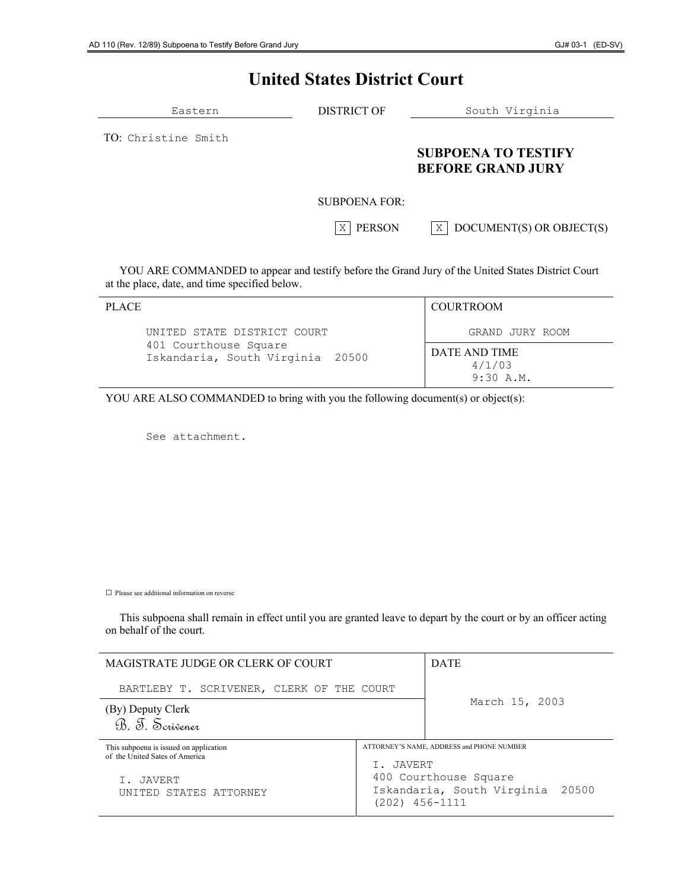# **United States District Court**

| Eastern            | <b>DISTRICT OF</b> | South Virginia                                         |
|--------------------|--------------------|--------------------------------------------------------|
| TO Christine Smith |                    | <b>SUBPOENA TO TESTIFY</b><br><b>BEFORE GRAND JURY</b> |
|                    | SUBPOENA FOR:      |                                                        |
|                    | <b>PERSON</b><br>Χ | DOCUMENT(S) OR OBJECT(S)<br>X <sub>1</sub>             |

 YOU ARE COMMANDED to appear and testify before the Grand Jury of the United States District Court at the place, date, and time specified below.

| <b>PLACE</b>                                              | <b>COURTROOM</b>                     |
|-----------------------------------------------------------|--------------------------------------|
| UNITED STATE DISTRICT COURT                               | GRAND JURY ROOM                      |
| 401 Courthouse Square<br>Iskandaria, South Virginia 20500 | DATE AND TIME<br>4/1/03<br>9:30 A.M. |

YOU ARE ALSO COMMANDED to bring with you the following document(s) or object(s):

See attachment.

 $\Box$  Please see additional information on reverse

 This subpoena shall remain in effect until you are granted leave to depart by the court or by an officer acting on behalf of the court.

| MAGISTRATE JUDGE OR CLERK OF COURT                                       |                                                                             | <b>DATE</b>                               |
|--------------------------------------------------------------------------|-----------------------------------------------------------------------------|-------------------------------------------|
| BARTLEBY T. SCRIVENER, CLERK OF THE COURT                                |                                                                             | March 15, 2003                            |
| (By) Deputy Clerk<br>B. T. Scrivener                                     |                                                                             |                                           |
| This subpoena is issued on application<br>of the United Sates of America | T. JAVERT                                                                   | ATTORNEY'S NAME, ADDRESS and PHONE NUMBER |
| I. JAVERT<br>UNITED STATES ATTORNEY                                      | 400 Courthouse Square<br>Iskandaria, South Virginia 20500<br>(202) 456-1111 |                                           |